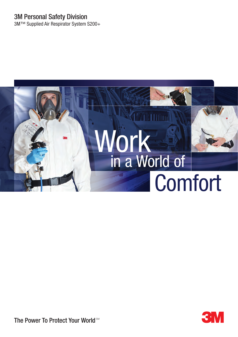### 3M Personal Safety Division

3M™ Supplied Air Respirator System S200+





The Power To Protect Your World<sup>SM</sup>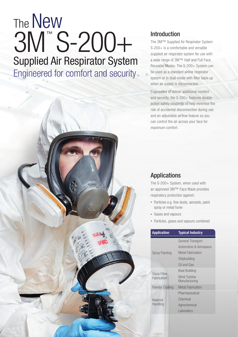# 3M™S-200+ Supplied Air Respirator System The New

Engineered for comfort and security

#### Introduction

The 3M™ Supplied Air Respirator System S-200+ is a comfortable and versatile supplied air respirator system for use with a wide range of 3M™ Half and Full Face Reusable Masks. The S-200+ System can be used as a standard airline respirator system or in dual-mode with filter back-up when air supply is disconnected.

Engineered to deliver additional comfort and security, the S-200+ features doubleaction safety couplings to help minimise the risk of accidental disconnection during use and an adjustable airflow feature so you can control the air across your face for maximum comfort.

### Applications

The S-200+ System, when used with an approved 3M™ Face Mask provides respiratory protection against:

- Particles e.g. fine dusts, aerosols, paint spray or metal fume
- Gases and vapours
- Particles, gases and vapours combined

|  | <b>Application</b>         | <b>Typical Industry</b>       |
|--|----------------------------|-------------------------------|
|  |                            | <b>General Transport</b>      |
|  |                            | Automotive & Aerospace        |
|  | Spray Painting             | Metal Fabrication             |
|  |                            | Shipbuilding                  |
|  |                            | Oil and Gas                   |
|  | Glass Fibre<br>Fabrication | Boat Building                 |
|  |                            | Wind Turbine<br>Manufacturing |
|  | <b>Powder Coating</b>      | <b>Metal Fabrication</b>      |
|  |                            | Pharmaceutical                |
|  | Material<br>Handling       | Chemical                      |
|  |                            | Agrochemical                  |
|  |                            | Laboratory                    |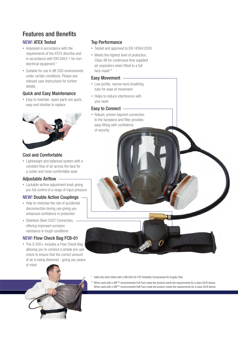### Features and Benefits

#### NEW! ATEX Tested

- Assessed in accordance with the requirements of the ATEX directive and in accordance with EN13463-1 for nonelectrical equipment.\*
- Suitable for use in IIB 2GD environments under certain conditions. Please see relevant user instructions for further details.

#### Quick and Easy Maintenance

• Easy to maintain, spare parts are quick, easy and intuitive to replace



#### Cool and Comfortable

• Lightweight and balanced system with a constant flow of air across the face for a cooler and more comfortable wear

#### Adjustable Airflow -

• Lockable airflow adjustment knob giving you full control of a range of input pressure

#### NEW! Double Action Couplings

- Help to minimise the risk of accidental disconnection during use giving you enhanced confidence in protection
- Stainless Steel CAST Connection, offering improved corrosion resistance in tough conditions

#### NEW! Flow Check Bag FCB-01

• The S-200+ includes a Flow Check Bag allowing you to conduct a simple pre-use check to ensure that the correct amount of air is being delivered - giving you peace of mind

#### Top Performance

- Tested and approved to EN 14594:2005
- Meets the highest level of protection. Class 4B for continuous flow supplied air respirators when fitted to a full face mask\*\*

#### Easy Movement

- Low profile, narrow-bore breathing tube for ease of movement
- Helps to reduce interference with your work

#### Easy to Connect -

• Robust, proven bayonet connection to the facepiece and filter provides easy fitting with confidence of security



\*\* When used with a 3M™ recommended Full Face mask the product meets the requirements for a class 4A/B device. When used with a 3M™ recommended Half Face mask the product meets the requirements for a class 3A/B device.

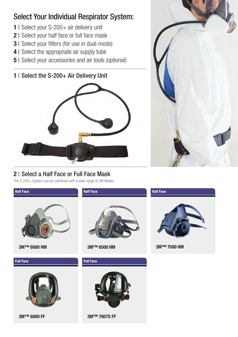## Select Your Individual Respirator System:

- 1 | Select your S-200+ air delivery unit
- 2 Select your half face or full face mask
- 3 Select your filters (for use in dual-mode)
- 4 | Select the appropriate air supply tube
- **5** I Select your accessories and air tools (optional)

### 1 Select the S-200+ Air Delivery Unit



### 2 Select a Half Face or Full Face Mask

The S-200+ System can be combined with a wide range of 3M Masks:



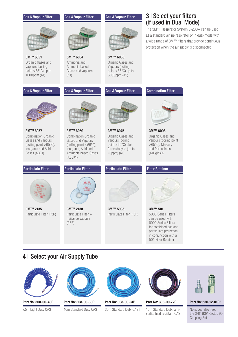| <b>Gas &amp; Vapour Filter</b>                                                                                                               | <b>Gas &amp; Vapour Filter</b>                                                                                                                                  | <b>Gas &amp; Vapour Filter</b>                                                                                                | <b>3   Select your filters</b><br>(if used in Dual Mode)<br>The 3M™ Respirator System S-200+ can be used<br>as a standard airline respirator or in dual-mode with<br>a wide range of 3M™ filters that provide continuous<br>protection when the air supply is disconnected. |
|----------------------------------------------------------------------------------------------------------------------------------------------|-----------------------------------------------------------------------------------------------------------------------------------------------------------------|-------------------------------------------------------------------------------------------------------------------------------|-----------------------------------------------------------------------------------------------------------------------------------------------------------------------------------------------------------------------------------------------------------------------------|
| <b>3M™ 6051</b><br>Organic Gases and<br>Vapours (boiling<br>point $>65^{\circ}$ C) up to<br>1000ppm (A1)                                     | 3M™ 6054<br>Ammonia and<br>Ammonia based<br>Gases and vapours<br>(K1)                                                                                           | 3М™ 6055<br>Organic Gases and<br>Vapours (boiling<br>point $>65^{\circ}$ C) up to<br>5000ppm (A2)                             |                                                                                                                                                                                                                                                                             |
| <b>Gas &amp; Vapour Filter</b>                                                                                                               | <b>Gas &amp; Vapour Filter</b>                                                                                                                                  | <b>Gas &amp; Vapour Filter</b>                                                                                                | <b>Combination Filter</b>                                                                                                                                                                                                                                                   |
| <b>3M™ 6057</b><br><b>Combination Organic</b><br>Gases and Vapours<br>(boiling point $>65^{\circ}$ C),<br>Inorganic and Acid<br>Gases (ABE1) | <b>3M™ 6059</b><br><b>Combination Organic</b><br>Gases and Vapours<br>(boiling point $>65^{\circ}$ C),<br>Inorganic, Acid and<br>Ammonia based Gases<br>(ABEK1) | <b>3M™ 6075</b><br>Organic Gases and<br>Vapours (boiling<br>point $>65^{\circ}$ C) plus<br>formaldehyde (up to<br>10ppm) (A1) | <b>3M™ 6096</b><br>Organic Gases and<br>Vapours (boiling point<br>>65°C), Mercury<br>and Particulates<br>(A1HgP3R)                                                                                                                                                          |
| <b>Particulate Filter</b>                                                                                                                    | <b>Particulate Filter</b>                                                                                                                                       | <b>Particulate Filter</b>                                                                                                     | <b>Filter Retainer</b>                                                                                                                                                                                                                                                      |
| 3M™ 2135<br>Particulate Filter (P3R)                                                                                                         | 3M™ 2138<br>Particulate Filter +<br>nuisance vapours<br>(P3R)                                                                                                   | <b>3M™ 5935</b><br>Particulate Filter (P3R)                                                                                   | <b>3M™ 501</b><br>5000 Series Filters<br>can be used with<br>6000 Series Filters<br>for combined gas and<br>particulate protection<br>in conjunction with a<br>501 Filter Retainer                                                                                          |

### 4 | Select your Air Supply Tube



Part No: 308-00-40P

7.5m Light Duty CAST



Part No: 308-00-30P

10m Standard Duty CAST



#### Part No: 308-00-31P

30m Standard Duty CAST



Part No: 308-00-72P

10m Standard Duty, antistatic, heat resistant CAST



Part No: 530-12-81P3

 Note: you also need the 3/8" BSP Rectus 95 Coupling Set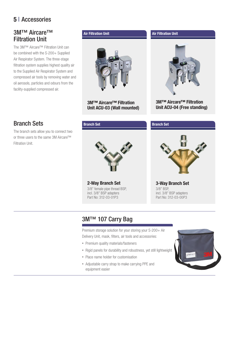### **5** | Accessories

### 3M™ Aircare™ Filtration Unit

The 3M™ Aircare™ Filtration Unit can be combined with the S-200+ Supplied Air Respirator System. The three-stage filtration system supplies highest quality air to the Supplied Air Respirator System and compressed air tools by removing water and oil aerosols, particles and odours from the facility-supplied compressed air.

#### Air Filtration Unit



3M™ Aircare™ Filtration Unit ACU-03 (Wall mounted)

#### Air Filtration Unit



3M™ Aircare™ Filtration Unit ACU-04 (Free standing)

#### Branch Sets

The branch sets allow you to connect two or three users to the same 3M Aircare™ Filtration Unit.



2-Way Branch Set 3/8" female pipe thread BSP, incl. 3/8" BSP adapters Part No: 312-03-01P3



3-Way Branch Set 3/8" BSP, incl. 3/8" BSP adapters Part No: 312-03-00P3

### 3M™ 107 Carry Bag

Premium storage solution for your storing your S-200+ Air Delivery Unit, mask, filters, air tools and accessories:

- Premium quality materials/fasteners
- Rigid panels for durability and robustness, yet still lightweight
- Place name holder for customisation
- Adjustable carry strap to make carrying PPE and equipment easier

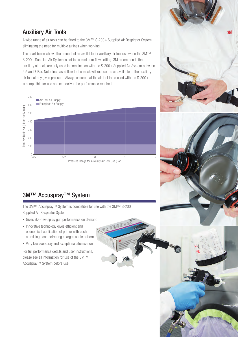### Auxiliary Air Tools

A wide range of air tools can be fitted to the 3M™ S-200+ Supplied Air Respirator System eliminating the need for multiple airlines when working.

The chart below shows the amount of air available for auxiliary air tool use when the 3M™ S-200+ Supplied Air System is set to its minimum flow setting. 3M recommends that auxiliary air tools are only used in combination with the S-200+ Supplied Air System between 4.5 and 7 Bar. Note: Increased flow to the mask will reduce the air available to the auxiliary air tool at any given pressure. Always ensure that the air tool to be used with the S-200+ is compatible for use and can deliver the performance required.



### 3M™ Accuspray™ System

The 3M™ Accuspray™ System is compatible for use with the 3M™ S-200+ Supplied Air Respirator System.

- Gives like-new spray gun performance on demand
- Innovative technology gives efficient and economical application of primer with each atomising head delivering a large usable pattern
- Very low overspray and exceptional atomisation

For full performance details and user instructions, please see all information for use of the 3M™ Accuspray™ System before use.